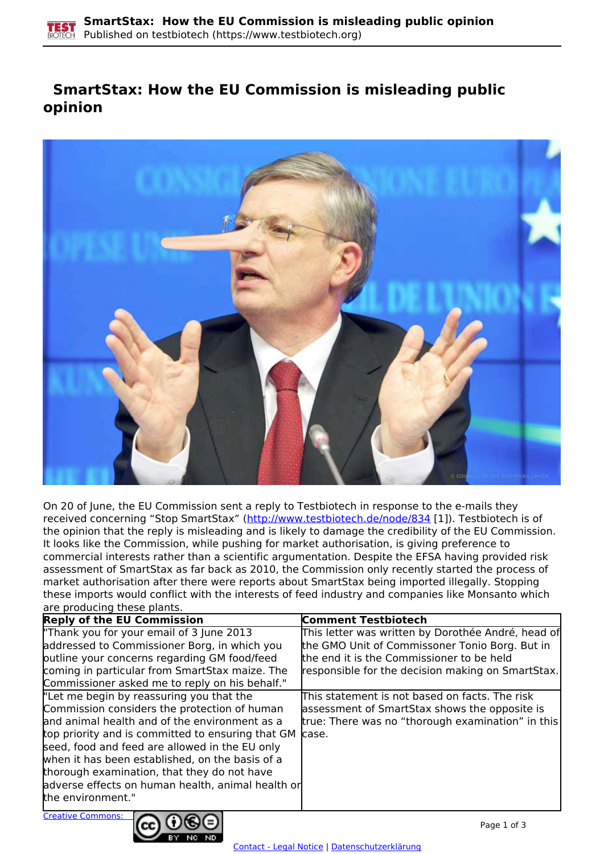## **SmartStax: How the EU Commission is misleading public opinion**



On 20 of June, the EU Commission sent a reply to Testbiotech in response to the e-mails they received concerning "Stop SmartStax" [\(http://www.testbiotech.de/node/834](http://www.testbiotech.de/node/834) [1]). Testbiotech is of the opinion that the reply is misleading and is likely to damage the credibility of the EU Commission. It looks like the Commission, while pushing for market authorisation, is giving preference to commercial interests rather than a scientific argumentation. Despite the EFSA having provided risk assessment of SmartStax as far back as 2010, the Commission only recently started the process of market authorisation after there were reports about SmartStax being imported illegally. Stopping these imports would conflict with the interests of feed industry and companies like Monsanto which are producing these plants.

| <b>Reply of the EU Commission</b>                       | <b>Comment Testbiotech</b>                         |
|---------------------------------------------------------|----------------------------------------------------|
| "Thank you for your email of 3 June 2013                | This letter was written by Dorothée André, head of |
| addressed to Commissioner Borg, in which you            | the GMO Unit of Commissoner Tonio Borg. But in     |
| putline your concerns regarding GM food/feed            | the end it is the Commissioner to be held          |
| coming in particular from SmartStax maize. The          | responsible for the decision making on SmartStax.  |
| Commissioner asked me to reply on his behalf."          |                                                    |
| "Let me begin by reassuring you that the                | This statement is not based on facts. The risk     |
| Commission considers the protection of human            | assessment of SmartStax shows the opposite is      |
| and animal health and of the environment as a           | true: There was no "thorough examination" in this  |
| top priority and is committed to ensuring that GM case. |                                                    |
| seed, food and feed are allowed in the EU only          |                                                    |
| when it has been established, on the basis of a         |                                                    |
| thorough examination, that they do not have             |                                                    |
| adverse effects on human health, animal health or       |                                                    |
| the environment."                                       |                                                    |
|                                                         |                                                    |

Creative Commons:

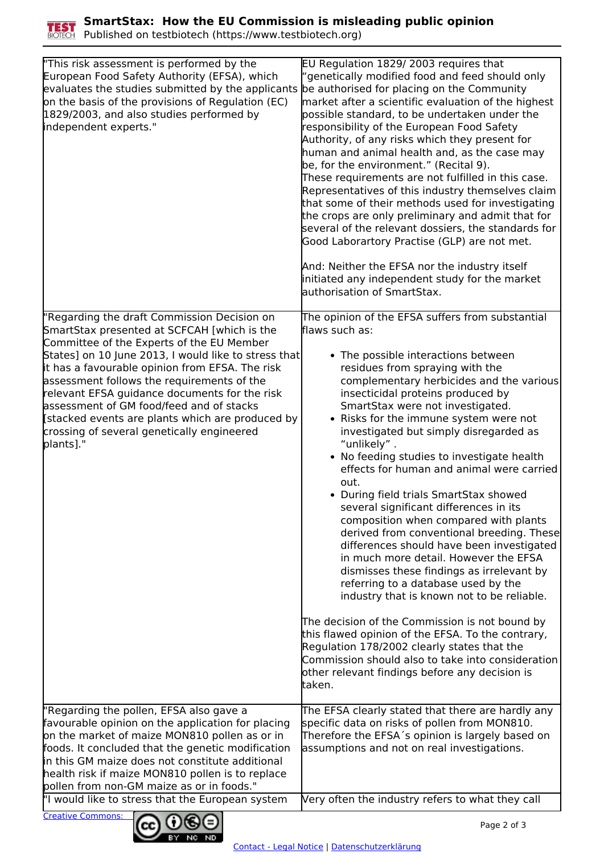

Published on testbiotech (https://www.testbiotech.org)

| "This risk assessment is performed by the<br>European Food Safety Authority (EFSA), which<br>evaluates the studies submitted by the applicants<br>on the basis of the provisions of Regulation (EC)<br>1829/2003, and also studies performed by<br>independent experts."                                                                                                                                                                                                                                     | EU Regulation 1829/2003 requires that<br>'genetically modified food and feed should only<br>be authorised for placing on the Community<br>market after a scientific evaluation of the highest<br>possible standard, to be undertaken under the<br>responsibility of the European Food Safety<br>Authority, of any risks which they present for<br>human and animal health and, as the case may<br>be, for the environment." (Recital 9).<br>These requirements are not fulfilled in this case.<br>Representatives of this industry themselves claim<br>that some of their methods used for investigating<br>the crops are only preliminary and admit that for<br>several of the relevant dossiers, the standards for<br>Good Laborartory Practise (GLP) are not met.<br>And: Neither the EFSA nor the industry itself<br>initiated any independent study for the market<br>authorisation of SmartStax.                                                                                                                                                                                                                                           |
|--------------------------------------------------------------------------------------------------------------------------------------------------------------------------------------------------------------------------------------------------------------------------------------------------------------------------------------------------------------------------------------------------------------------------------------------------------------------------------------------------------------|--------------------------------------------------------------------------------------------------------------------------------------------------------------------------------------------------------------------------------------------------------------------------------------------------------------------------------------------------------------------------------------------------------------------------------------------------------------------------------------------------------------------------------------------------------------------------------------------------------------------------------------------------------------------------------------------------------------------------------------------------------------------------------------------------------------------------------------------------------------------------------------------------------------------------------------------------------------------------------------------------------------------------------------------------------------------------------------------------------------------------------------------------|
| "Regarding the draft Commission Decision on<br>SmartStax presented at SCFCAH [which is the<br>Committee of the Experts of the EU Member<br>States] on 10 June 2013, I would like to stress that<br>it has a favourable opinion from EFSA. The risk<br>assessment follows the requirements of the<br>relevant EFSA guidance documents for the risk<br>assessment of GM food/feed and of stacks<br>[stacked events are plants which are produced by<br>crossing of several genetically engineered<br>plants]." | The opinion of the EFSA suffers from substantial<br>flaws such as:<br>• The possible interactions between<br>residues from spraying with the<br>complementary herbicides and the various<br>insecticidal proteins produced by<br>SmartStax were not investigated.<br>• Risks for the immune system were not<br>investigated but simply disregarded as<br>"unlikely".<br>• No feeding studies to investigate health<br>effects for human and animal were carried<br>out.<br>• During field trials SmartStax showed<br>several significant differences in its<br>composition when compared with plants<br>derived from conventional breeding. These<br>differences should have been investigated<br>in much more detail. However the EFSA<br>dismisses these findings as irrelevant by<br>referring to a database used by the<br>industry that is known not to be reliable.<br>The decision of the Commission is not bound by<br>this flawed opinion of the EFSA. To the contrary,<br>Regulation 178/2002 clearly states that the<br>Commission should also to take into consideration<br>other relevant findings before any decision is<br>taken. |
| "Regarding the pollen, EFSA also gave a<br>favourable opinion on the application for placing<br>on the market of maize MON810 pollen as or in<br>foods. It concluded that the genetic modification<br>in this GM maize does not constitute additional<br>health risk if maize MON810 pollen is to replace<br>pollen from non-GM maize as or in foods."                                                                                                                                                       | The EFSA clearly stated that there are hardly any<br>specific data on risks of pollen from MON810.<br>Therefore the EFSA's opinion is largely based on<br>assumptions and not on real investigations.                                                                                                                                                                                                                                                                                                                                                                                                                                                                                                                                                                                                                                                                                                                                                                                                                                                                                                                                            |
| "I would like to stress that the European system                                                                                                                                                                                                                                                                                                                                                                                                                                                             | Very often the industry refers to what they call                                                                                                                                                                                                                                                                                                                                                                                                                                                                                                                                                                                                                                                                                                                                                                                                                                                                                                                                                                                                                                                                                                 |



Creative Commons: